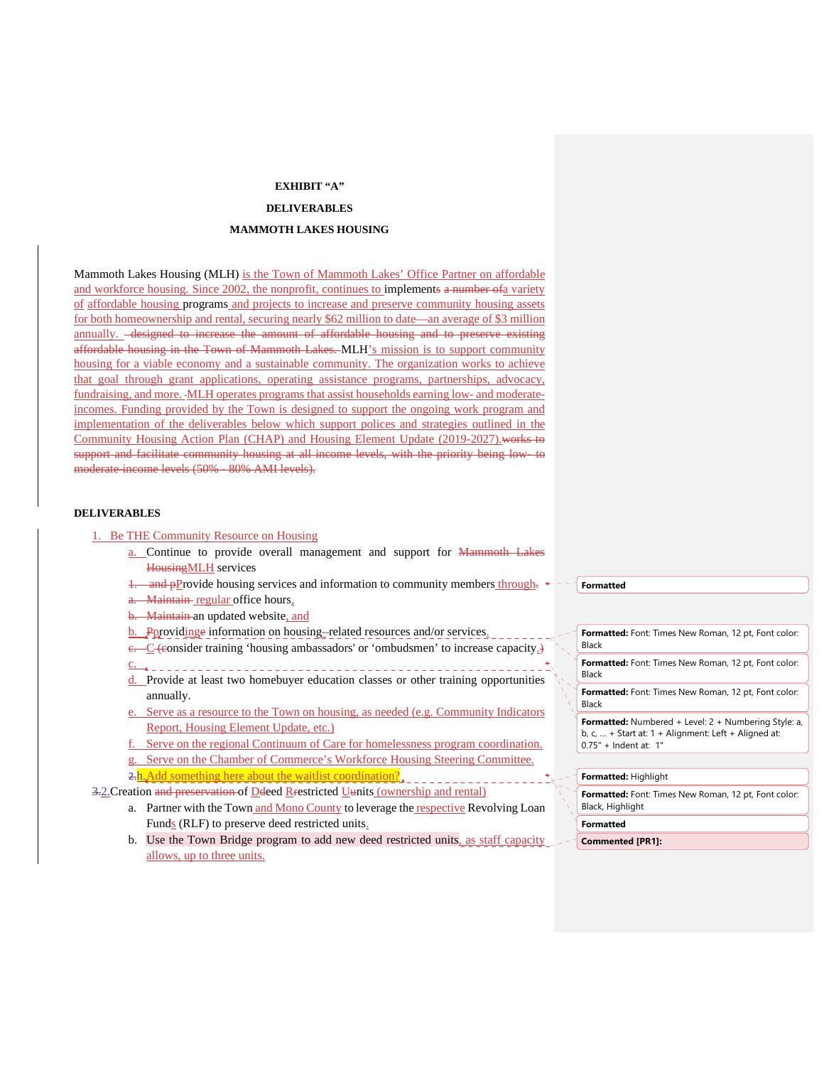## **EXHIBIT "A"**

## **DELIVERABLES**

## **MAMMOTH LAKES HOUSING**

Mammoth Lakes Housing (MLH) is the Town of Mammoth Lakes' Office Partner on affordable and workforce housing. Since 2002, the nonprofit, continues to implements a number of a variety of affordable housing programs and projects to increase and preserve community housing assets for both homeownership and rental, securing nearly \$62 million to date—an average of \$3 million annually. <del>designed to increase the amount of affordable housing and to preserve existing</del> affordable housing in the Town of Mammoth Lakes.-MLH's mission is to support community housing for a viable economy and a sustainable community. The organization works to achieve that goal through grant applications, operating assistance programs, partnerships, advocacy, fundraising, and more. MLH operates programs that assist households earning low- and moderateincomes. Funding provided by the Town is designed to support the ongoing work program and implementation of the deliverables below which support polices and strategies outlined in the Community Housing Action Plan (CHAP) and Housing Element Update (2019-2027).works to support and facilitate community housing at all income levels, with the priority being low- to moderate-income levels (50% - 80% AMI levels).

## **DELIVERABLES**

### 1. Be THE Community Resource on Housing

- a. Continue to provide overall management and support for Mammoth Lakes HousingMLH services
- 1. and pProvide housing services and information to community members through.  $\leftarrow$  -
- a. Maintain-regular office hours,
- b. Maintain an updated website, and
- b. Pprovidinge information on housing- related resources and/or services. e. C (consider training 'housing ambassadors' or 'ombudsmen' to increase capacity.)
- c.
- d. Provide at least two homebuyer education classes or other training opportunities annually.
- Serve as a resource to the Town on housing, as needed (e.g. Community Indicators Report, Housing Element Update, etc.)
- f. Serve on the regional Continuum of Care for homelessness program coordination.
- g. Serve on the Chamber of Commerce's Workforce Housing Steering Committee.

2.h.Add something here about the waitlist coordination?

3.2. Creation and preservation of Ddeed Rrestricted Uunits (ownership and rental)

- a. Partner with the Town and Mono County to leverage the respective Revolving Loan Funds (RLF) to preserve deed restricted units.
- b. Use the Town Bridge program to add new deed restricted units, as staff capacity allows, up to three units.

**Formatted**

**Formatted:** Font: Times New Roman, 12 pt, Font color: Black

**Formatted:** Font: Times New Roman, 12 pt, Font color: Black

**Formatted:** Font: Times New Roman, 12 pt, Font color: Black

**Formatted:** Numbered + Level: 2 + Numbering Style: a, b, c, … + Start at: 1 + Alignment: Left + Aligned at: 0.75" + Indent at: 1"

#### **Formatted:** Highlight

**Formatted:** Font: Times New Roman, 12 pt, Font color: Black, Highlight

#### **Formatted**

**Commented [PR1]:**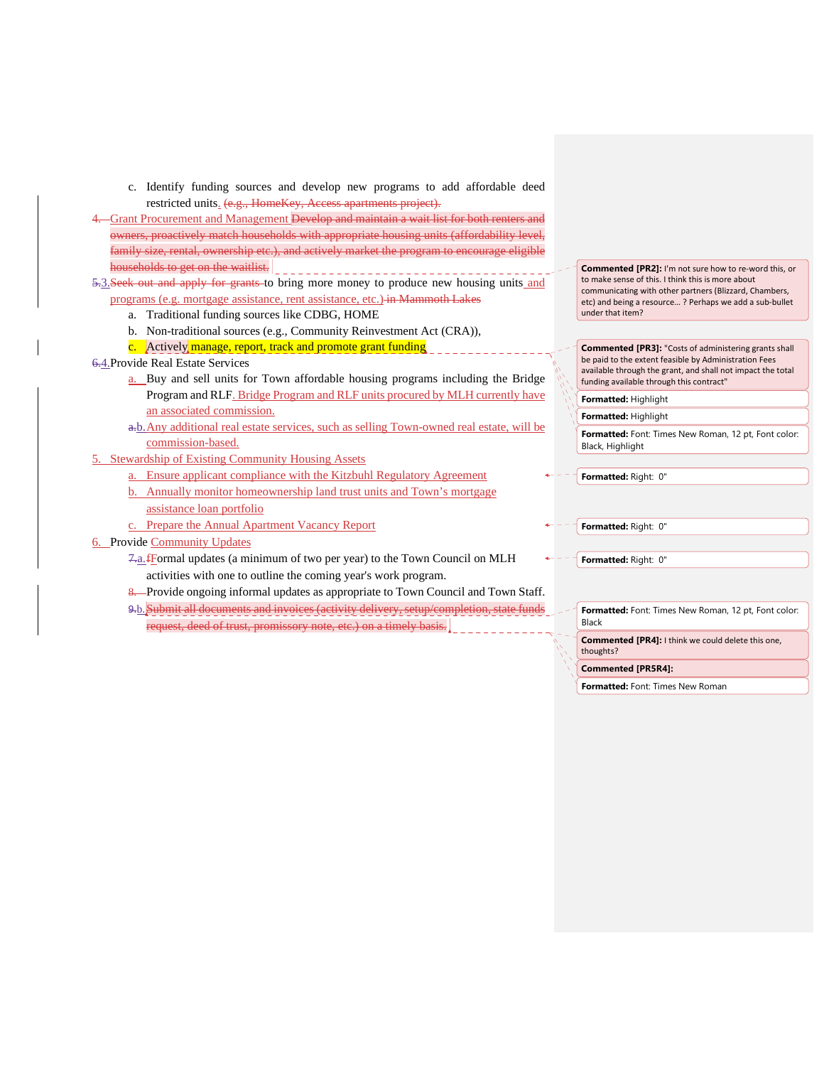- c. Identify funding sources and develop new programs to add affordable deed restricted units. (e.g., HomeKey, Access apartments project).
- 4. Grant Procurement and Management Develop and maintain a wait list for both renters and owners, proactively match households with appropriate housing units (affordability level, family size, rental, ownership etc.), and actively market the program to encourage eligible households to get on the waitlist.
- 5.3. Seek out and apply for grants to bring more money to produce new housing units and programs (e.g. mortgage assistance, rent assistance, etc.) in Mammoth Lakes
	- a. Traditional funding sources like CDBG, HOME
	- b. Non-traditional sources (e.g., Community Reinvestment Act (CRA)),
	- c. Actively manage, report, track and promote grant funding
- 6.4.Provide Real Estate Services
	- a. Buy and sell units for Town affordable housing programs including the Bridge Program and RLF. Bridge Program and RLF units procured by MLH currently have an associated commission.
	- a.b.Any additional real estate services, such as selling Town-owned real estate, will be commission-based.
- 5. Stewardship of Existing Community Housing Assets
	- a. Ensure applicant compliance with the Kitzbuhl Regulatory Agreement
	- b. Annually monitor homeownership land trust units and Town's mortgage assistance loan portfolio
	- Prepare the Annual Apartment Vacancy Report
- 6. Provide Community Updates
	- 7.a.fFormal updates (a minimum of two per year) to the Town Council on MLH activities with one to outline the coming year's work program.
	- 8. Provide ongoing informal updates as appropriate to Town Council and Town Staff.
	- 9.b. Submit all documents and invoices (activity delivery, setup/completion, state funds request, deed of trust, promissory note, etc.) on a timely basis.

**Commented [PR2]:** I'm not sure how to re-word this, or to make sense of this. I think this is more about communicating with other partners (Blizzard, Chambers, etc) and being a resource… ? Perhaps we add a sub-bullet under that item?

**Commented [PR3]:** "Costs of administering grants shall be paid to the extent feasible by Administration Fees available through the grant, and shall not impact the total funding available through this contract"

**Formatted:** Highlight

**Formatted:** Highlight **Formatted:** Font: Times New Roman, 12 pt, Font color: Black, Highlight

**Formatted:** Right: 0"

**Formatted:** Right: 0"

**Formatted:** Right: 0"

**Formatted:** Font: Times New Roman, 12 pt, Font color: Black

**Commented [PR4]:** I think we could delete this one, thoughts?

**Commented [PR5R4]:** 

**Formatted:** Font: Times New Roman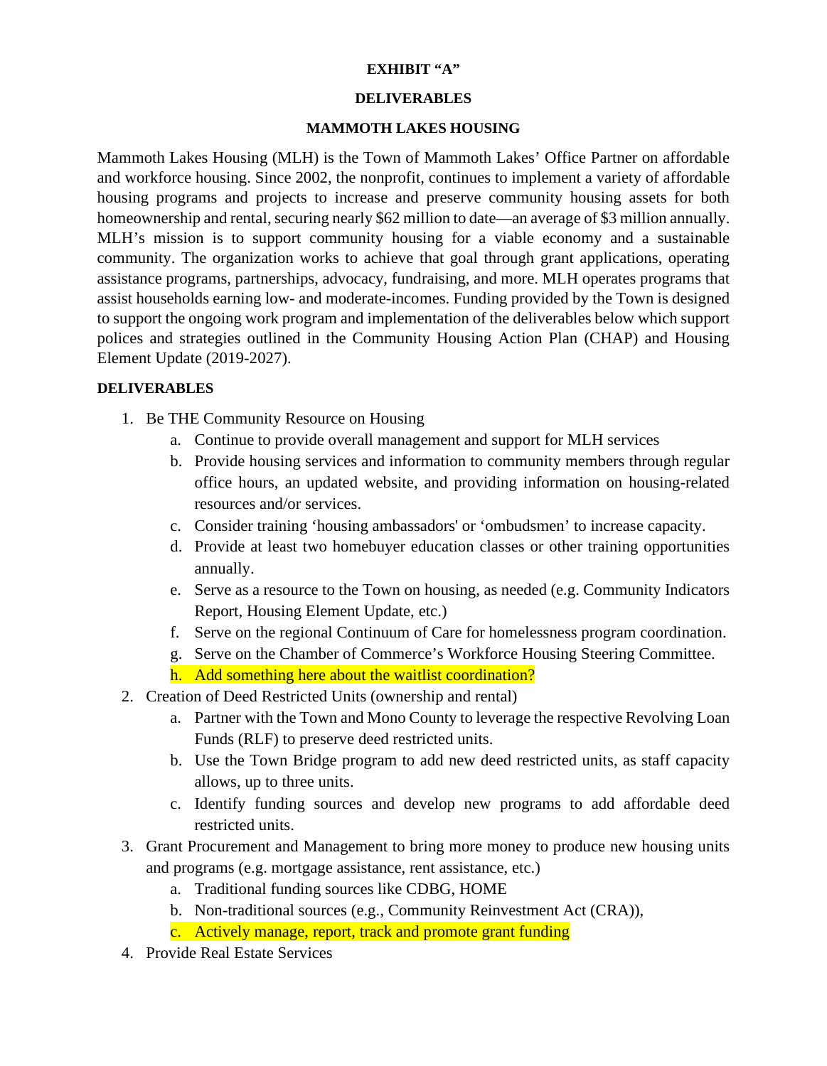# **EXHIBIT "A"**

## **DELIVERABLES**

# **MAMMOTH LAKES HOUSING**

Mammoth Lakes Housing (MLH) is the Town of Mammoth Lakes' Office Partner on affordable and workforce housing. Since 2002, the nonprofit, continues to implement a variety of affordable housing programs and projects to increase and preserve community housing assets for both homeownership and rental, securing nearly \$62 million to date—an average of \$3 million annually. MLH's mission is to support community housing for a viable economy and a sustainable community. The organization works to achieve that goal through grant applications, operating assistance programs, partnerships, advocacy, fundraising, and more. MLH operates programs that assist households earning low- and moderate-incomes. Funding provided by the Town is designed to support the ongoing work program and implementation of the deliverables below which support polices and strategies outlined in the Community Housing Action Plan (CHAP) and Housing Element Update (2019-2027).

# **DELIVERABLES**

- 1. Be THE Community Resource on Housing
	- a. Continue to provide overall management and support for MLH services
	- b. Provide housing services and information to community members through regular office hours, an updated website, and providing information on housing-related resources and/or services.
	- c. Consider training 'housing ambassadors' or 'ombudsmen' to increase capacity.
	- d. Provide at least two homebuyer education classes or other training opportunities annually.
	- e. Serve as a resource to the Town on housing, as needed (e.g. Community Indicators Report, Housing Element Update, etc.)
	- f. Serve on the regional Continuum of Care for homelessness program coordination.
	- g. Serve on the Chamber of Commerce's Workforce Housing Steering Committee.
	- h. Add something here about the waitlist coordination?
- 2. Creation of Deed Restricted Units (ownership and rental)
	- a. Partner with the Town and Mono County to leverage the respective Revolving Loan Funds (RLF) to preserve deed restricted units.
	- b. Use the Town Bridge program to add new deed restricted units, as staff capacity allows, up to three units.
	- c. Identify funding sources and develop new programs to add affordable deed restricted units.
- 3. Grant Procurement and Management to bring more money to produce new housing units and programs (e.g. mortgage assistance, rent assistance, etc.)
	- a. Traditional funding sources like CDBG, HOME
	- b. Non-traditional sources (e.g., Community Reinvestment Act (CRA)),
	- c. Actively manage, report, track and promote grant funding
- 4. Provide Real Estate Services